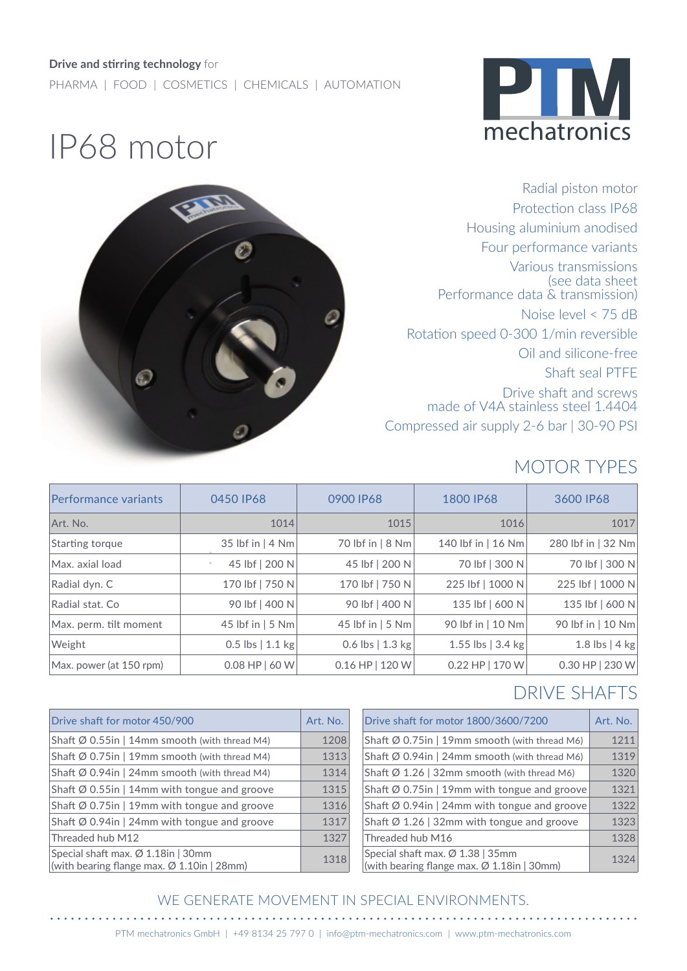#### **Drive and stirring technology** for

PHARMA | FOOD | COSMETICS | CHEMICALS | AUTOMATION



# IP68 motor



Radial piston motor Protection class IP68 Housing aluminium anodised Four performance variants Various transmissions (see data sheet Performance data & transmission) Noise level < 75 dB Rotation speed 0-300 1/min reversible Oil and silicone-free Shaft seal PTFE Drive shaft and screws made of V4A stainless steel 1.4404 Compressed air supply 2-6 bar | 30-90 PSI

## MOTOR TYPES

| Performance variants    | 0450 IP68                 | 0900 IP68        | 1800 IP68                   | 3600 IP68          |
|-------------------------|---------------------------|------------------|-----------------------------|--------------------|
| Art. No.                | 1014                      | 1015             | 1016                        | 1017               |
| Starting torque         | 35 lbf in $ 4 Nm $        | 70 lbf in   8 Nm | 140 lbf in   16 Nm          | 280 lbf in   32 Nm |
| Max. axial load         | 45 lbf   200 N<br>$\circ$ | 45 lbf   200 N   | 70 lbf   300 N              | 70 lbf   300 N     |
| Radial dyn. C           | 170 lbf   750 N           | 170 lbf   750 N  | 225 lbf   1000 N            | 225 lbf   1000 N   |
| Radial stat. Co         | 90 lbf   400 N            | 90 lbf   400 N   | 135 lbf   600 N             | 135 lbf   600 N    |
| Max. perm. tilt moment  | 45 lbf in $ 5 Nm $        | 45 lbf in   5 Nm | 90 lbf in   10 Nm           | 90 lbf in   10 Nm  |
| Weight                  | $0.5$ lbs   1.1 kg        | 0.6 lbs   1.3 kg | 1.55 lbs $ 3.4 \text{ kg} $ | 1.8 lbs $ 4$ kg    |
| Max. power (at 150 rpm) | $0.08$ HP $  60$ W        | 0.16 HP   120 W  | $0.22$ HP   170 W           | $0.30$ HP   230 W  |

#### DRIVE SHAFTS

. . . . . . . .

| Drive shaft for motor 450/900                                                    | Art. No. | Drive shaft for motor 1800/3600/7200                                                       | Art. No. |
|----------------------------------------------------------------------------------|----------|--------------------------------------------------------------------------------------------|----------|
| Shaft $\emptyset$ 0.55in   14mm smooth (with thread M4)                          | 1208     | Shaft $\emptyset$ 0.75in   19mm smooth (with thread M6)                                    | 1211     |
| Shaft Ø 0.75in   19mm smooth (with thread M4)                                    | 1313     | Shaft $\emptyset$ 0.94in   24mm smooth (with thread M6)                                    | 1319     |
| Shaft $\emptyset$ 0.94in   24mm smooth (with thread M4)                          | 1314     | Shaft $\emptyset$ 1.26   32mm smooth (with thread M6)                                      | 1320     |
| Shaft $\emptyset$ 0.55in   14mm with tongue and groove                           | 1315     | Shaft $\emptyset$ 0.75in   19mm with tongue and groove                                     | 1321     |
| Shaft $\emptyset$ 0.75in   19mm with tongue and groove                           | 1316     | Shaft $\emptyset$ 0.94in   24mm with tongue and groove                                     | 1322     |
| Shaft $\emptyset$ 0.94in   24mm with tongue and groove                           | 1317     | Shaft $\emptyset$ 1.26   32mm with tongue and groove                                       | 1323     |
| Threaded hub M12                                                                 | 1327     | Threaded hub M16                                                                           | 1328     |
| Special shaft max. Ø 1.18in   30mm<br>(with bearing flange max. Ø 1.10in   28mm) | 1318     | Special shaft max. Ø 1.38   35mm<br>(with bearing flange max. $\varnothing$ 1.18in   30mm) | 1324     |

#### WE GENERATE MOVEMENT IN SPECIAL ENVIRONMENTS.